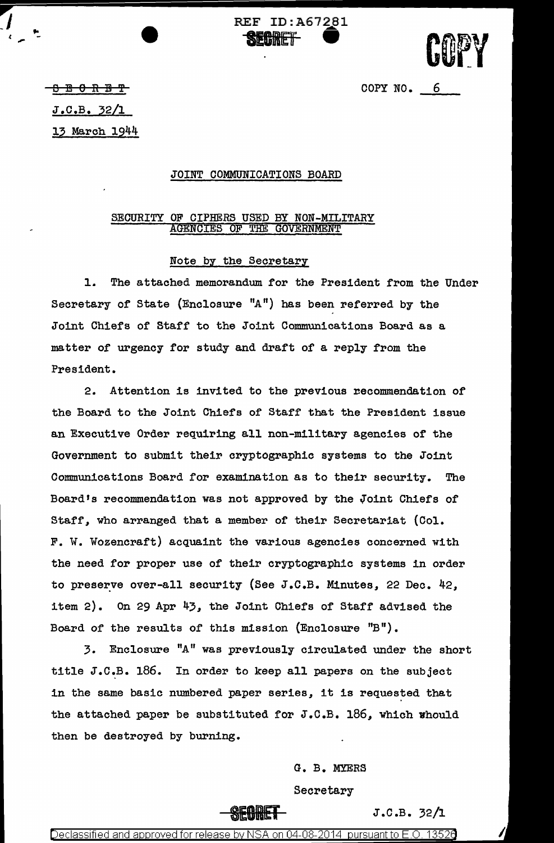

COPY NO. 6

B El 0 R B 'f

*\_J* 

J.C.B. 32/l

13 March 1944

## JOINT COMMUNICATIONS BOARD

REF ID:A67281

**SEGRET** 

## SECURITY OF CIPHERS USED BY NON-MILITARY AGENCIES OF THE GOVERNMENT

## Note by the Secretary

l. The attached memorandum for the President from the Under Secretary of State (Enclosure "A") has been referred by the Joint Chiefs of Staff to the Joint Communications Board as a matter of urgency for study and draft of a reply from the President.

2. Attention is invited to the previous recommendation of the Board to the Joint Chiefs of Staff that the President issue an Executive Order requiring all non-military agencies or the Government to submit their cryptographic systems to the Joint Communications Board for examination as to their security. The Board's recommendation was not approved by the Joint Chiefs of Staff, who arranged that a member of their Secretariat (Col. F. W. Wozencraft) acquaint the various agencies concerned with the need for proper use of their cryptographic systems in order to preserve over-all security (See J.C.B. Minutes, 22 Dec.  $42$ , item 2). On 29 Apr  $43$ , the Joint Chiefs of Staff advised the Board of the results of this mission (Enclosure "B").

3. Enclosure "A" was previously circulated under the short title J.C.B. 186. In order to keep all papers on the subject in the same basic numbered paper series, it is requested that the attached paper be substituted for  $J.C.B. 186$ , which whould then be destroyed by burning.

> G. B. MYERS Secretary

> > $J.C.B. 32/1$

Declassified and approved for release by NSA on 04-08-2014 pursuant to  $E.O.$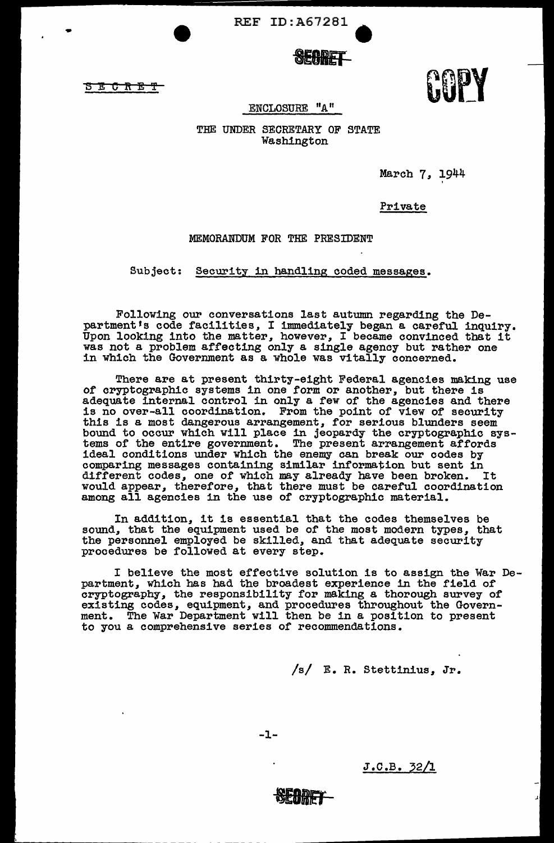REF ID:A67281 •

3ECftE'f

...

UUL I

ENCLOSURE "A"

THE UNDER SECRETARY OF STATE Washington

March 7, 1944

'

Private

MEMORANDUM FOR THE PRESIDENT

Subject: Security in handling coded messages.

Following our conversations last autumn regarding the Department's code facilities, I immediately began a careful inquiry. Upon looking into the matter, however, I became convinced that it was not a problem affecting only a single agency but rather one in which the Government as a whole was vitally concerned.

There are at present thirty-eight Federal agencies making use of cryptographic systems in one form or another, but there is adequate internal control in only a few of the agencies and there is no over-all coordination. From the point of view of security is no over-all coordination. From the point of view of security this is a most dangerous arrangement, for serious blunders seem bound to occur which will place in jeopardy the cryptographic systems of the entire government. The present arrangement affords ideal conditions under which the enemy can break our codes by comparing messages containing similar informaiion but sent in different codes, one of which may already have been broken. It would appear, therefore, that there must be careful coordination among all agencies in the use of cryptographic material.

In addition, it is essential that the codes themselves be sound, that the equipment used be of the most modern types, that the personnel employed be skilled, and that adequate security procedures be followed at every step.

I believe the most effective solution is to assign the War Department, which has had the broadest experience in the field of cryptography, the responsibility for making a thorough survey of existing codes, equipment, and procedures throughout the Government. The War Department will then be in a position to present to you a comprehensive series of recommendations.

/s/ E. R. Stettinius, Jr.

-1-

 $J.C.B. 32/1$